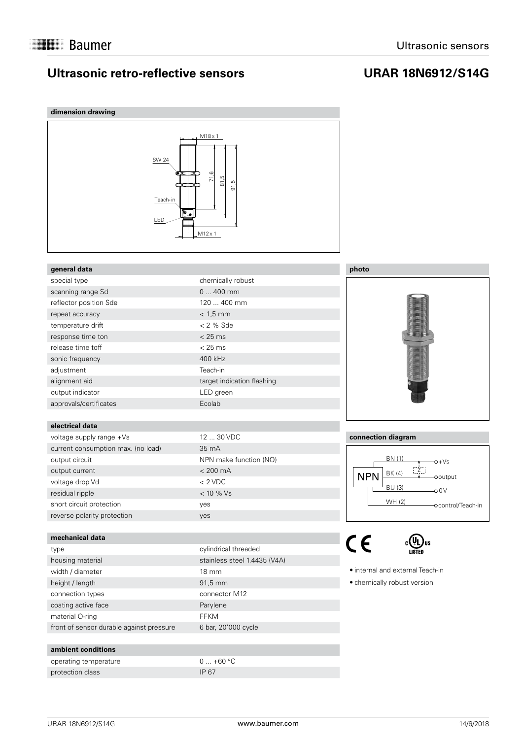### **Ultrasonic retro-reflective sensors**

## **URAR 18N6912/S14G**





#### **connection diagram**



:(VL)us

 internal and external Teach-in

 chemically robust version

**ambient conditions**

material O-ring Theory of the Contract of the FFKM

operating temperature  $0 ... +60 °C$ protection class IP 67

front of sensor durable against pressure 6 bar, 20'000 cycle